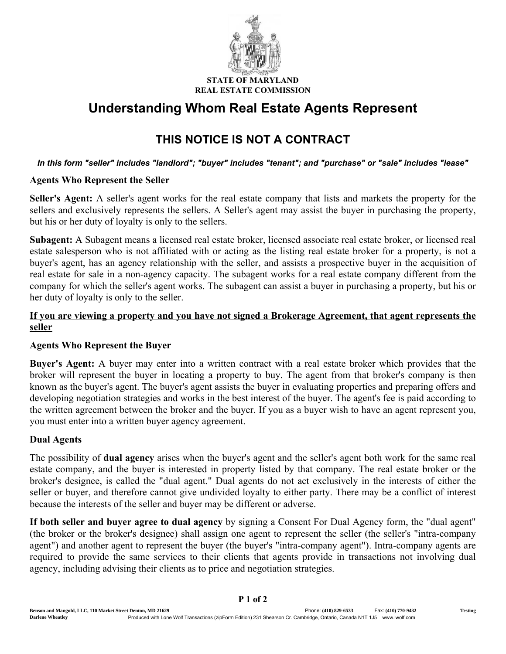

#### STATE OF MAR REAL ESTATE COMMISSION

# Understanding Whom Real Estate Agents Represent

## THIS NOTICE IS NOT A CONTRACT

#### *In this form "seller" includes "landlord"; "buyer" includes "tenant"; and "purchase" or "sale" includes "lease"*

#### Agents Who Represent the Seller

Seller's Agent: A seller's agent works for the real estate company that lists and markets the property for the sellers and exclusively represents the sellers. A Seller's agent may assist the buyer in purchasing the property, but his or her duty of loyalty is only to the sellers.

Subagent: A Subagent means a licensed real estate broker, licensed associate real estate broker, or licensed real estate salesperson who is not affiliated with or acting as the listing real estate broker for a property, is not a buyer's agent, has an agency relationship with the seller, and assists a prospective buyer in the acquisition of real estate for sale in a non-agency capacity. The subagent works for a real estate company different from the company for which the seller's agent works. The subagent can assist a buyer in purchasing a property, but his or her duty of loyalty is only to the seller.

### If you are viewing a property and you have not signed a Brokerage Agreement, that agent represents the seller

### Agents Who Represent the Buyer

Buyer's Agent: A buyer may enter into a written contract with a real estate broker which provides that the broker will represent the buyer in locating a property to buy. The agent from that broker's company is then known as the buyer's agent. The buyer's agent assists the buyer in evaluating properties and preparing offers and developing negotiation strategies and works in the best interest of the buyer. The agent's fee is paid according to the written agreement between the broker and the buyer. If you as a buyer wish to have an agent represent you, you must enter into a written buyer agency agreement.

### Dual Agents

The possibility of **dual agency** arises when the buyer's agent and the seller's agent both work for the same real estate company, and the buyer is interested in property listed by that company. The real estate broker or the broker's designee, is called the "dual agent." Dual agents do not act exclusively in the interests of either the seller or buyer, and therefore cannot give undivided loyalty to either party. There may be a conflict of interest because the interests of the seller and buyer may be different or adverse.

If both seller and buyer agree to dual agency by signing a Consent For Dual Agency form, the "dual agent" (the broker or the broker's designee) shall assign one agent to represent the seller (the seller's "intra-company agent") and another agent to represent the buyer (the buyer's "intra-company agent"). Intra-company agents are required to provide the same services to their clients that agents provide in transactions not involving dual agency, including advising their clients as to price and negotiation strategies.

P 1 of 2